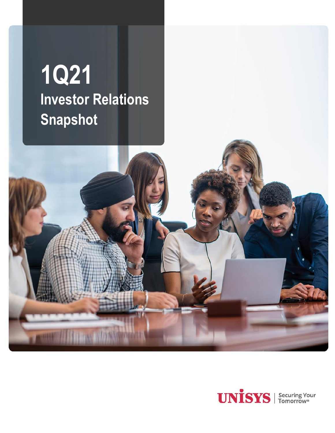# **1Q21 Investor Relations Snapshot**



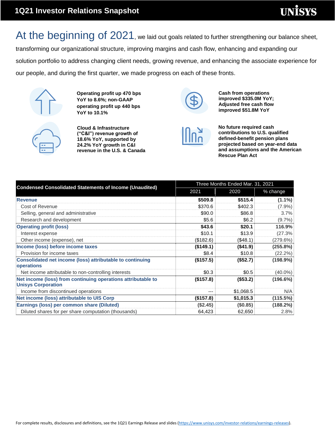## **UNISYS**

At the beginning of 2021, we laid out goals related to further strengthening our balance sheet,

transforming our organizational structure, improving margins and cash flow, enhancing and expanding our solution portfolio to address changing client needs, growing revenue, and enhancing the associate experience for our people, and during the first quarter, we made progress on each of these fronts.



**1** Operating profit up 470 bps **YoY to 8.6%; non-GAAP operating profit up 440 bps YoY to 10.1%**



• **Cloud & Infrastructure ("C&I") revenue growth of 18.6% YoY, supported by 24.2% YoY growth in C&I revenue in the U.S. & Canada**



• **Cash from operations improved \$335.0M YoY; Adjusted free cash flow improved \$51.8M YoY**



• **No future required cash contributions to U.S. qualified defined-benefit pension plans projected based on year-end data and assumptions and the American Rescue Plan Act**

| <b>Condensed Consolidated Statements of Income (Unaudited)</b>                            |           | Three Months Ended Mar. 31, 2021 |            |
|-------------------------------------------------------------------------------------------|-----------|----------------------------------|------------|
|                                                                                           | 2021      | 2020                             | % change   |
| <b>Revenue</b>                                                                            | \$509.8   | \$515.4                          | $(1.1\%)$  |
| Cost of Revenue                                                                           | \$370.6   | \$402.3                          | (7.9%)     |
| Selling, general and administrative                                                       | \$90.0    | \$86.8                           | $3.7\%$    |
| Research and development                                                                  | \$5.6     | \$6.2                            | $(9.7\%)$  |
| <b>Operating profit (loss)</b>                                                            | \$43.6    | \$20.1                           | 116.9%     |
| Interest expense                                                                          | \$10.1    | \$13.9                           | (27.3%     |
| Other income (expense), net                                                               | (\$182.6) | (\$48.1)                         | (279.6%)   |
| Income (loss) before income taxes                                                         | (\$149.1) | (\$41.9)                         | (255.8%)   |
| Provision for income taxes                                                                | \$8.4     | \$10.8                           | (22.2%)    |
| <b>Consolidated net income (loss) attributable to continuing</b><br>operations            | (\$157.5) | (\$52.7)                         | (198.9%)   |
| Net income attributable to non-controlling interests                                      | \$0.3     | \$0.5                            | $(40.0\%)$ |
| Net income (loss) from continuing operations attributable to<br><b>Unisys Corporation</b> | (\$157.8) | (\$53.2)                         | (196.6%)   |
| Income from discontinued operations                                                       | ---       | \$1,068.5                        | N/A        |
| Net income (loss) attributable to UIS Corp                                                | (\$157.8) | \$1,015.3                        | (115.5%)   |
| Earnings (loss) per common share (Diluted)                                                | (\$2.45)  | (\$0.85)                         | (188.2%)   |
| Diluted shares for per share computation (thousands)                                      | 64,423    | 62,650                           | 2.8%       |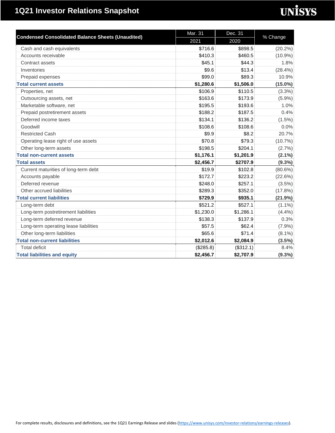### **1Q21 Investor Relations Snapshot**

### **UNISYS**

|                                                          | Mar. 31   | Dec. 31   |            |
|----------------------------------------------------------|-----------|-----------|------------|
| <b>Condensed Consolidated Balance Sheets (Unaudited)</b> | 2021      | 2020      | % Change   |
| Cash and cash equivalents                                | \$716.6   | \$898.5   | $(20.2\%)$ |
| Accounts receivable                                      | \$410.3   | \$460.5   | $(10.9\%)$ |
| Contract assets                                          | \$45.1    | \$44.3    | 1.8%       |
| Inventories                                              | \$9.6     | \$13.4    | $(28.4\%)$ |
| Prepaid expenses                                         | \$99.0    | \$89.3    | 10.9%      |
| <b>Total current assets</b>                              | \$1,280.6 | \$1,506.0 | $(15.0\%)$ |
| Properties, net                                          | \$106.9   | \$110.5   | $(3.3\%)$  |
| Outsourcing assets, net                                  | \$163.6   | \$173.9   | (5.9%)     |
| Marketable software, net                                 | \$195.5   | \$193.6   | 1.0%       |
| Prepaid postretirement assets                            | \$188.2   | \$187.5   | 0.4%       |
| Deferred income taxes                                    | \$134.1   | \$136.2   | $(1.5\%)$  |
| Goodwill                                                 | \$108.6   | \$108.6   | 0.0%       |
| <b>Restricted Cash</b>                                   | \$9.9     | \$8.2     | 20.7%      |
| Operating lease right of use assets                      | \$70.8    | \$79.3    | $(10.7\%)$ |
| Other long-term assets                                   | \$198.5   | \$204.1   | (2.7%)     |
| <b>Total non-current assets</b>                          | \$1,176.1 | \$1,201.9 | $(2.1\%)$  |
| <b>Total assets</b>                                      | \$2,456.7 | \$2707.9  | $(9.3\%)$  |
| Current maturities of long-term debt                     | \$19.9    | \$102.8   | $(80.6\%)$ |
| Accounts payable                                         | \$172.7   | \$223.2   | (22.6%)    |
| Deferred revenue                                         | \$248.0   | \$257.1   | $(3.5\%)$  |
| Other accrued liabilities                                | \$289.3   | \$352.0   | $(17.8\%)$ |
| <b>Total current liabilities</b>                         | \$729.9   | \$935.1   | (21.9%)    |
| Long-term debt                                           | \$521.2   | \$527.1   | $(1.1\%)$  |
| Long-term postretirement liabilities                     | \$1,230.0 | \$1,286.1 | (4.4%)     |
| Long-term deferred revenue                               | \$138.3   | \$137.9   | 0.3%       |
| Long-term operating lease liabilities                    | \$57.5    | \$62.4    | (7.9%)     |
| Other long-term liabilities                              | \$65.6    | \$71.4    | $(8.1\%)$  |
| <b>Total non-current liabilities</b>                     | \$2,012.6 | \$2,084.9 | (3.5%)     |
| <b>Total deficit</b>                                     | (\$285.8) | (\$312.1) | 8.4%       |
| <b>Total liabilities and equity</b>                      | \$2,456.7 | \$2,707.9 | $(9.3\%)$  |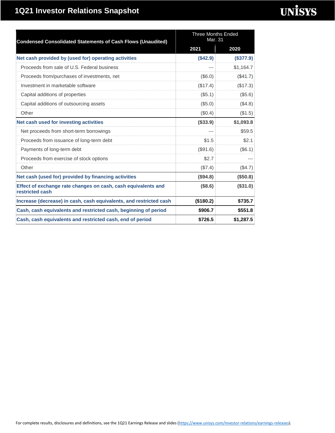### **1Q21 Investor Relations Snapshot**

### **UNISYS**

| <b>Condensed Consolidated Statements of Cash Flows (Unaudited)</b>               | <b>Three Months Ended</b><br>Mar. 31 |           |  |
|----------------------------------------------------------------------------------|--------------------------------------|-----------|--|
|                                                                                  | 2021                                 | 2020      |  |
| Net cash provided by (used for) operating activities                             | (\$42.9)                             | (\$377.9) |  |
| Proceeds from sale of U.S. Federal business                                      |                                      | \$1,164.7 |  |
| Proceeds from/purchases of investments, net                                      | (\$6.0)                              | (\$41.7)  |  |
| Investment in marketable software                                                | (\$17.4)                             | (\$17.3)  |  |
| Capital additions of properties                                                  | (\$5.1)                              | (\$5.6)   |  |
| Capital additions of outsourcing assets                                          | (\$5.0)                              | (\$4.8)   |  |
| Other                                                                            | (\$0.4)                              | (\$1.5)   |  |
| Net cash used for investing activities                                           | (\$33.9)                             | \$1,093.8 |  |
| Net proceeds from short-term borrowings                                          |                                      | \$59.5    |  |
| Proceeds from issuance of long-term debt                                         | \$1.5                                | \$2.1     |  |
| Payments of long-term debt                                                       | (\$91.6)                             | (\$6.1)   |  |
| Proceeds from exercise of stock options                                          | \$2.7                                |           |  |
| Other                                                                            | (\$7.4)                              | (S4.7)    |  |
| Net cash (used for) provided by financing activities                             | (\$94.8)                             | (\$50.8)  |  |
| Effect of exchange rate changes on cash, cash equivalents and<br>restricted cash | (S8.6)                               | (\$31.0)  |  |
| Increase (decrease) in cash, cash equivalents, and restricted cash               | (\$180.2)                            | \$735.7   |  |
| Cash, cash equivalents and restricted cash, beginning of period                  | \$906.7                              | \$551.8   |  |
| Cash, cash equivalents and restricted cash, end of period                        | \$726.5                              | \$1,287.5 |  |